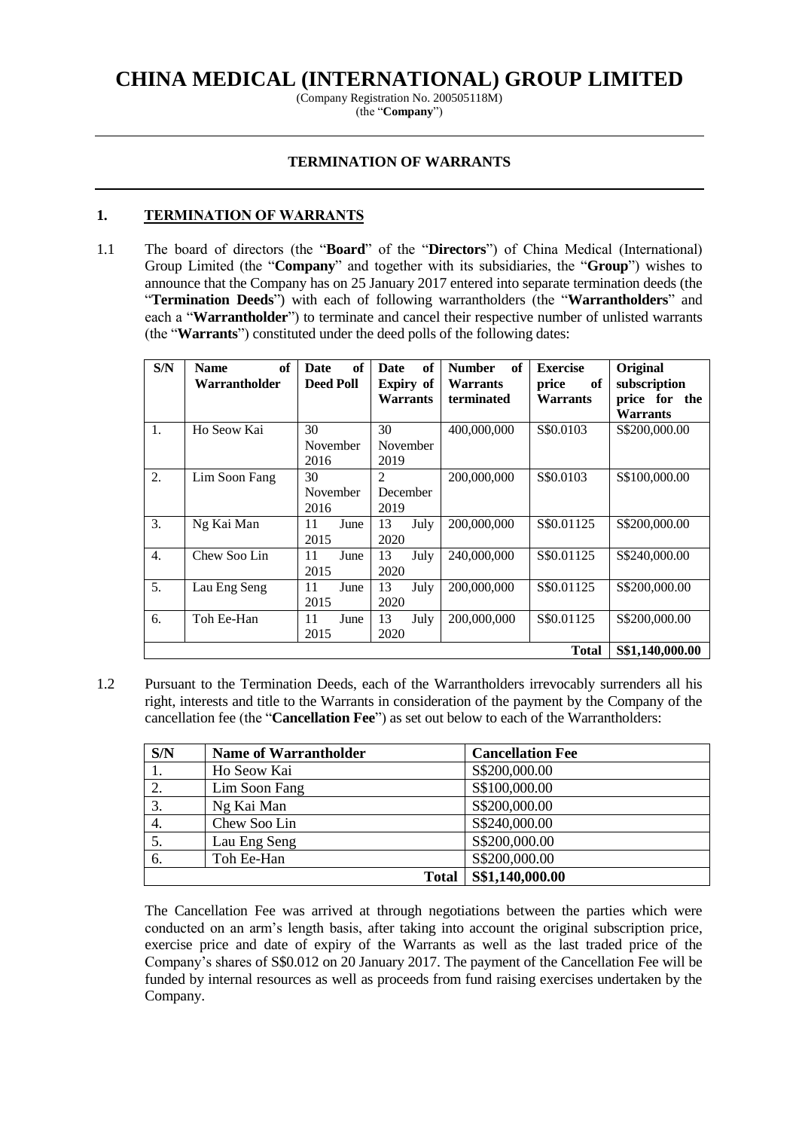# **CHINA MEDICAL (INTERNATIONAL) GROUP LIMITED**

(Company Registration No. 200505118M) (the "**Company**")

### **TERMINATION OF WARRANTS**

### **1. TERMINATION OF WARRANTS**

1.1 The board of directors (the "**Board**" of the "**Directors**") of China Medical (International) Group Limited (the "**Company**" and together with its subsidiaries, the "**Group**") wishes to announce that the Company has on 25 January 2017 entered into separate termination deeds (the "**Termination Deeds**") with each of following warrantholders (the "**Warrantholders**" and each a "**Warrantholder**") to terminate and cancel their respective number of unlisted warrants (the "**Warrants**") constituted under the deed polls of the following dates:

| S/N              | of<br><b>Name</b> | of<br><b>Date</b> | of<br><b>Date</b> | of<br><b>Number</b> | <b>Exercise</b> | Original                     |
|------------------|-------------------|-------------------|-------------------|---------------------|-----------------|------------------------------|
|                  | Warrantholder     | <b>Deed Poll</b>  | <b>Expiry</b> of  | <b>Warrants</b>     | of<br>price     | subscription                 |
|                  |                   |                   | Warrants          | terminated          | <b>Warrants</b> | price for<br>the<br>Warrants |
| 1.               | Ho Seow Kai       | 30                | 30                | 400,000,000         | S\$0.0103       | S\$200,000.00                |
|                  |                   | November          | November          |                     |                 |                              |
|                  |                   | 2016              | 2019              |                     |                 |                              |
| 2.               | Lim Soon Fang     | 30                | $\overline{2}$    | 200,000,000         | S\$0.0103       | S\$100,000.00                |
|                  |                   | November          | December          |                     |                 |                              |
|                  |                   | 2016              | 2019              |                     |                 |                              |
| 3.               | Ng Kai Man        | June<br>11        | 13<br>July        | 200,000,000         | S\$0.01125      | S\$200,000.00                |
|                  |                   | 2015              | 2020              |                     |                 |                              |
| $\overline{4}$ . | Chew Soo Lin      | June<br>11        | 13<br>July        | 240,000,000         | S\$0.01125      | S\$240,000.00                |
|                  |                   | 2015              | 2020              |                     |                 |                              |
| 5.               | Lau Eng Seng      | 11<br>June        | 13<br>July        | 200,000,000         | S\$0.01125      | \$\$200,000.00               |
|                  |                   | 2015              | 2020              |                     |                 |                              |
| 6.               | Toh Ee-Han        | 11<br>June        | 13<br>July        | 200,000,000         | S\$0.01125      | \$\$200,000.00               |
|                  |                   | 2015              | 2020              |                     |                 |                              |
|                  |                   |                   |                   |                     | <b>Total</b>    | S\$1,140,000.00              |

1.2 Pursuant to the Termination Deeds, each of the Warrantholders irrevocably surrenders all his right, interests and title to the Warrants in consideration of the payment by the Company of the cancellation fee (the "**Cancellation Fee**") as set out below to each of the Warrantholders:

| S/N | <b>Name of Warrantholder</b> | <b>Cancellation Fee</b> |
|-----|------------------------------|-------------------------|
| 1.  | Ho Seow Kai                  | S\$200,000.00           |
| 2.  | Lim Soon Fang                | S\$100,000.00           |
| 3.  | Ng Kai Man                   | S\$200,000.00           |
| 4.  | Chew Soo Lin                 | S\$240,000.00           |
| 5.  | Lau Eng Seng                 | S\$200,000.00           |
| 6.  | Toh Ee-Han                   | S\$200,000.00           |
|     | <b>Total</b>                 | S\$1,140,000.00         |

The Cancellation Fee was arrived at through negotiations between the parties which were conducted on an arm's length basis, after taking into account the original subscription price, exercise price and date of expiry of the Warrants as well as the last traded price of the Company's shares of S\$0.012 on 20 January 2017. The payment of the Cancellation Fee will be funded by internal resources as well as proceeds from fund raising exercises undertaken by the Company.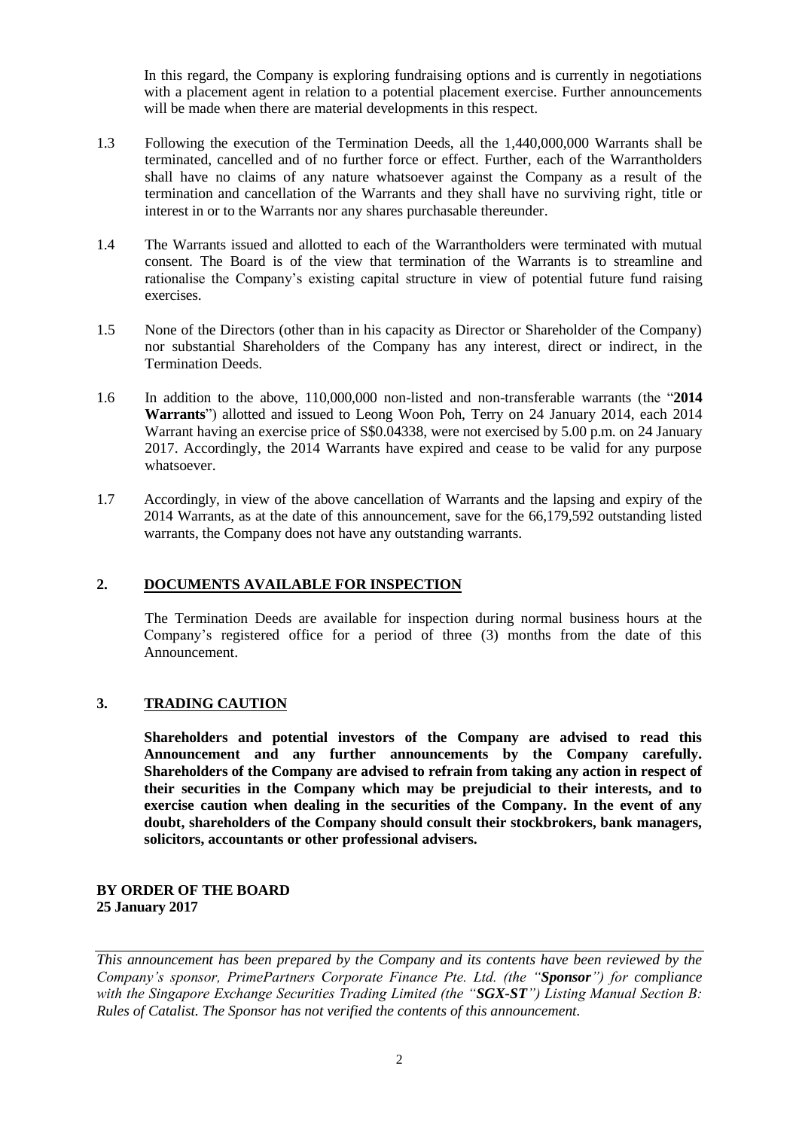In this regard, the Company is exploring fundraising options and is currently in negotiations with a placement agent in relation to a potential placement exercise. Further announcements will be made when there are material developments in this respect.

- 1.3 Following the execution of the Termination Deeds, all the 1,440,000,000 Warrants shall be terminated, cancelled and of no further force or effect. Further, each of the Warrantholders shall have no claims of any nature whatsoever against the Company as a result of the termination and cancellation of the Warrants and they shall have no surviving right, title or interest in or to the Warrants nor any shares purchasable thereunder.
- 1.4 The Warrants issued and allotted to each of the Warrantholders were terminated with mutual consent. The Board is of the view that termination of the Warrants is to streamline and rationalise the Company's existing capital structure in view of potential future fund raising exercises.
- 1.5 None of the Directors (other than in his capacity as Director or Shareholder of the Company) nor substantial Shareholders of the Company has any interest, direct or indirect, in the Termination Deeds.
- 1.6 In addition to the above, 110,000,000 non-listed and non-transferable warrants (the "**2014 Warrants**") allotted and issued to Leong Woon Poh, Terry on 24 January 2014, each 2014 Warrant having an exercise price of S\$0.04338, were not exercised by 5.00 p.m. on 24 January 2017. Accordingly, the 2014 Warrants have expired and cease to be valid for any purpose whatsoever.
- 1.7 Accordingly, in view of the above cancellation of Warrants and the lapsing and expiry of the 2014 Warrants, as at the date of this announcement, save for the 66,179,592 outstanding listed warrants, the Company does not have any outstanding warrants.

# **2. DOCUMENTS AVAILABLE FOR INSPECTION**

The Termination Deeds are available for inspection during normal business hours at the Company's registered office for a period of three (3) months from the date of this Announcement.

# **3. TRADING CAUTION**

**Shareholders and potential investors of the Company are advised to read this Announcement and any further announcements by the Company carefully. Shareholders of the Company are advised to refrain from taking any action in respect of their securities in the Company which may be prejudicial to their interests, and to exercise caution when dealing in the securities of the Company. In the event of any doubt, shareholders of the Company should consult their stockbrokers, bank managers, solicitors, accountants or other professional advisers.**

#### **BY ORDER OF THE BOARD 25 January 2017**

*This announcement has been prepared by the Company and its contents have been reviewed by the Company's sponsor, PrimePartners Corporate Finance Pte. Ltd. (the "Sponsor") for compliance with the Singapore Exchange Securities Trading Limited (the "SGX-ST") Listing Manual Section B: Rules of Catalist. The Sponsor has not verified the contents of this announcement.*